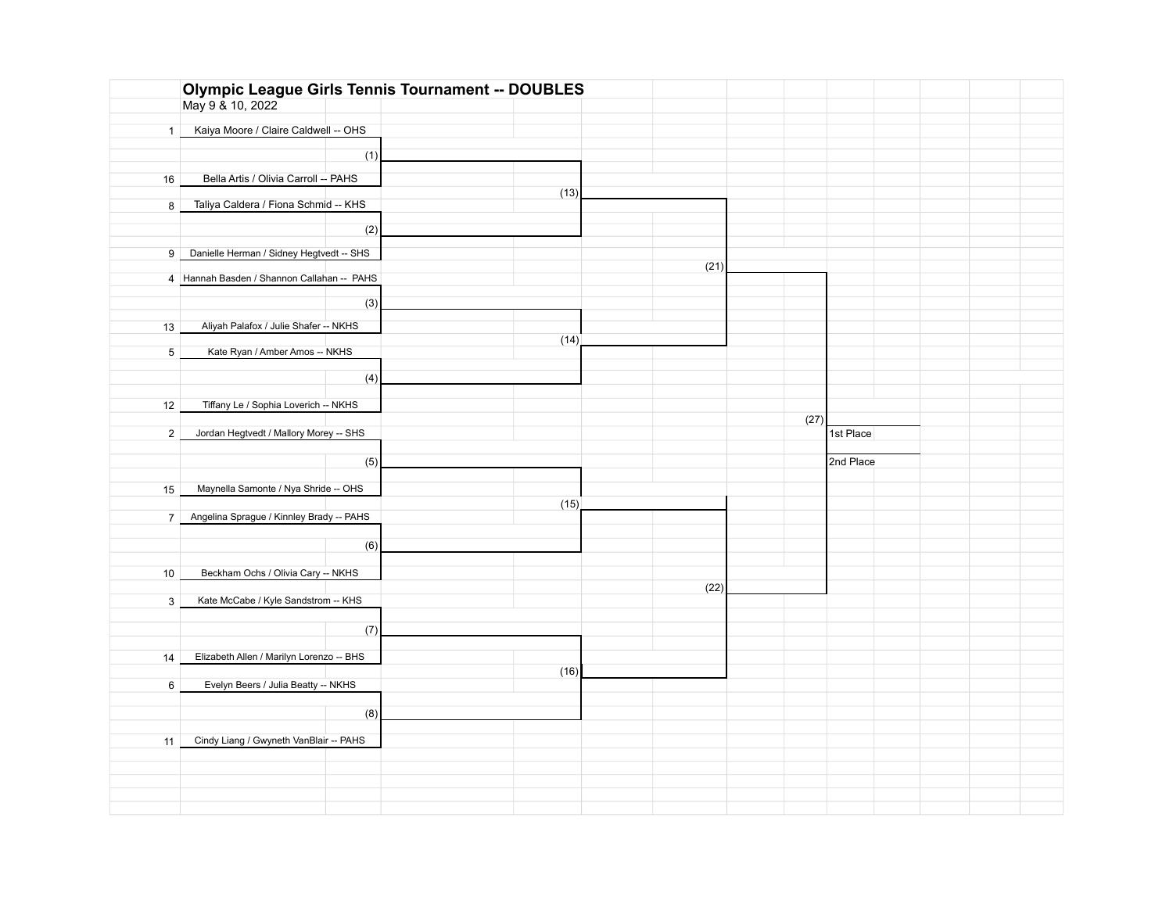|                 | <b>Olympic League Girls Tennis Tournament -- DOUBLES</b> |      |      |      |           |  |
|-----------------|----------------------------------------------------------|------|------|------|-----------|--|
|                 | May 9 & 10, 2022                                         |      |      |      |           |  |
|                 |                                                          |      |      |      |           |  |
| $\mathbf{1}$    | Kaiya Moore / Claire Caldwell -- OHS                     |      |      |      |           |  |
|                 | (1)                                                      |      |      |      |           |  |
|                 |                                                          |      |      |      |           |  |
| 16              | Bella Artis / Olivia Carroll -- PAHS                     |      |      |      |           |  |
|                 |                                                          | (13) |      |      |           |  |
| 8               | Taliya Caldera / Fiona Schmid -- KHS                     |      |      |      |           |  |
|                 |                                                          |      |      |      |           |  |
|                 | (2)                                                      |      |      |      |           |  |
| 9               | Danielle Herman / Sidney Hegtvedt -- SHS                 |      |      |      |           |  |
|                 |                                                          |      | (21) |      |           |  |
|                 | 4 Hannah Basden / Shannon Callahan -- PAHS               |      |      |      |           |  |
|                 |                                                          |      |      |      |           |  |
|                 | (3)                                                      |      |      |      |           |  |
|                 |                                                          |      |      |      |           |  |
| 13              | Aliyah Palafox / Julie Shafer -- NKHS                    |      |      |      |           |  |
| $5\overline{)}$ | Kate Ryan / Amber Amos -- NKHS                           | (14) |      |      |           |  |
|                 |                                                          |      |      |      |           |  |
|                 | (4)                                                      |      |      |      |           |  |
|                 |                                                          |      |      |      |           |  |
| 12              | Tiffany Le / Sophia Loverich -- NKHS                     |      |      |      |           |  |
|                 |                                                          |      |      | (27) |           |  |
| $\overline{2}$  | Jordan Hegtvedt / Mallory Morey -- SHS                   |      |      |      | 1st Place |  |
|                 |                                                          |      |      |      |           |  |
|                 |                                                          |      |      |      |           |  |
|                 |                                                          |      |      |      |           |  |
|                 | (5)                                                      |      |      |      | 2nd Place |  |
| 15              | Maynella Samonte / Nya Shride -- OHS                     |      |      |      |           |  |
|                 |                                                          |      |      |      |           |  |
|                 | 7 Angelina Sprague / Kinnley Brady -- PAHS               | (15) |      |      |           |  |
|                 |                                                          |      |      |      |           |  |
|                 |                                                          |      |      |      |           |  |
|                 | (6)                                                      |      |      |      |           |  |
| 10              | Beckham Ochs / Olivia Cary -- NKHS                       |      |      |      |           |  |
|                 |                                                          |      | (22) |      |           |  |
| 3               | Kate McCabe / Kyle Sandstrom -- KHS                      |      |      |      |           |  |
|                 |                                                          |      |      |      |           |  |
|                 | (7)                                                      |      |      |      |           |  |
|                 |                                                          |      |      |      |           |  |
| 14              | Elizabeth Allen / Marilyn Lorenzo -- BHS                 |      |      |      |           |  |
|                 |                                                          | (16) |      |      |           |  |
| 6               | Evelyn Beers / Julia Beatty -- NKHS                      |      |      |      |           |  |
|                 |                                                          |      |      |      |           |  |
|                 | (8)                                                      |      |      |      |           |  |
|                 |                                                          |      |      |      |           |  |
| 11              | Cindy Liang / Gwyneth VanBlair -- PAHS                   |      |      |      |           |  |
|                 |                                                          |      |      |      |           |  |
|                 |                                                          |      |      |      |           |  |
|                 |                                                          |      |      |      |           |  |
|                 |                                                          |      |      |      |           |  |